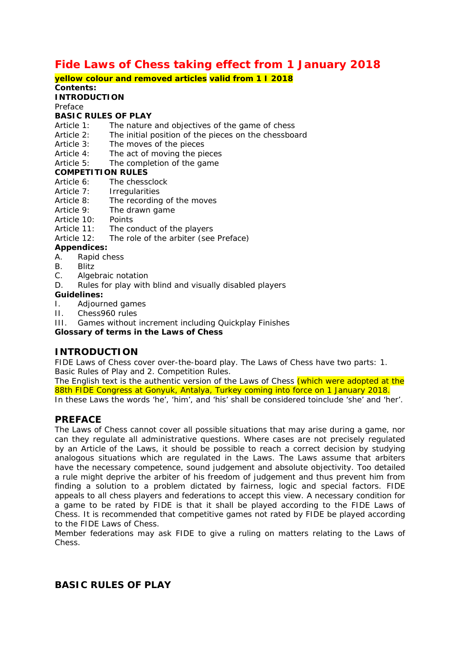# **Fide Laws of Chess taking effect from 1 January 2018**

#### **yellow colour and removed articles valid from 1 I 2018 Contents:**

#### **INTRODUCTION**

Preface

#### **BASIC RULES OF PLAY**

- Article 1: The nature and objectives of the game of chess
- Article 2: The initial position of the pieces on the chessboard
- Article 3: The moves of the pieces
- Article 4: The act of moving the pieces
- Article 5: The completion of the game

#### **COMPETITION RULES**

- Article 6: The chessclock
- Article 7: Irregularities
- Article 8: The recording of the moves
- Article 9: The drawn game
- Article 10: Points
- Article 11: The conduct of the players
- Article 12: The role of the arbiter (see Preface)

### **Appendices:**

- A. Rapid chess
- B. Blitz
- C. Algebraic notation
- D. Rules for play with blind and visually disabled players

#### **Guidelines:**

- I. Adjourned games
- II. Chess960 rules
- III. Games without increment including Quickplay Finishes

### **Glossary of terms in the Laws of Chess**

## **INTRODUCTION**

FIDE Laws of Chess cover over-the-board play. The Laws of Chess have two parts: 1. Basic Rules of Play and 2. Competition Rules.

The English text is the authentic version of the Laws of Chess (which were adopted at the 88th FIDE Congress at Gonyuk, Antalya, Turkey coming into force on 1 January 2018. In these Laws the words 'he', 'him', and 'his' shall be considered toinclude 'she' and 'her'.

### **PREFACE**

The Laws of Chess cannot cover all possible situations that may arise during a game, nor can they regulate all administrative questions. Where cases are not precisely regulated by an Article of the Laws, it should be possible to reach a correct decision by studying analogous situations which are regulated in the Laws. The Laws assume that arbiters have the necessary competence, sound judgement and absolute objectivity. Too detailed a rule might deprive the arbiter of his freedom of judgement and thus prevent him from finding a solution to a problem dictated by fairness, logic and special factors. FIDE appeals to all chess players and federations to accept this view. A necessary condition for a game to be rated by FIDE is that it shall be played according to the FIDE Laws of Chess. It is recommended that competitive games not rated by FIDE be played according to the FIDE Laws of Chess.

Member federations may ask FIDE to give a ruling on matters relating to the Laws of Chess.

## **BASIC RULES OF PLAY**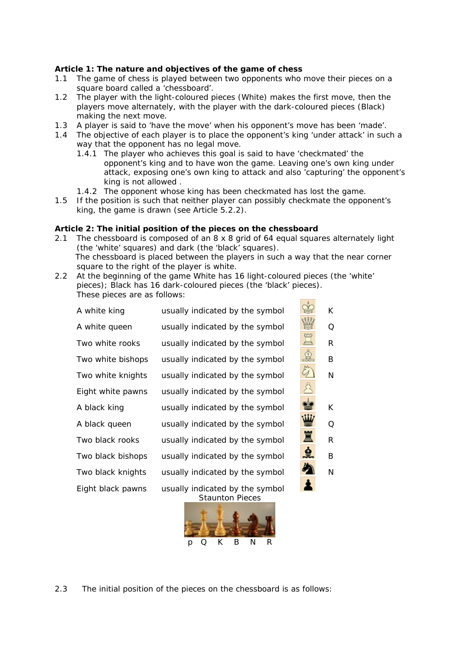#### **Article 1: The nature and objectives of the game of chess**

- 1.1 The game of chess is played between two opponents who move their pieces on a square board called a 'chessboard'.
- 1.2 The player with the light-coloured pieces (White) makes the first move, then the players move alternately, with the player with the dark-coloured pieces (Black) making the next move.
- 1.3 A player is said to 'have the move' when his opponent's move has been 'made'.
- 1.4 The objective of each player is to place the opponent's king 'under attack' in such a way that the opponent has no legal move.
	- 1.4.1 The player who achieves this goal is said to have 'checkmated' the opponent's king and to have won the game. Leaving one's own king under attack, exposing one's own king to attack and also 'capturing' the opponent's king is not allowed .
	- 1.4.2 The opponent whose king has been checkmated has lost the game.
- 1.5 If the position is such that neither player can possibly checkmate the opponent's king, the game is drawn (see Article 5.2.2).

#### **Article 2: The initial position of the pieces on the chessboard**

- 2.1 The chessboard is composed of an 8 x 8 grid of 64 equal squares alternately light (the 'white' squares) and dark (the 'black' squares). The chessboard is placed between the players in such a way that the near corner square to the right of the player is white.
- 2.2 At the beginning of the game White has 16 light-coloured pieces (the 'white' pieces); Black has 16 dark-coloured pieces (the 'black' pieces). These pieces are as follows:

| A white king      | usually indicated by the symbol                           |   | K. |
|-------------------|-----------------------------------------------------------|---|----|
| A white queen     | usually indicated by the symbol                           |   | Q  |
| Two white rooks   | usually indicated by the symbol                           |   | R  |
| Two white bishops | usually indicated by the symbol                           |   | B  |
| Two white knights | usually indicated by the symbol                           |   | N  |
| Eight white pawns | usually indicated by the symbol                           |   |    |
| A black king      | usually indicated by the symbol                           |   | K. |
| A black queen     | usually indicated by the symbol                           |   | Q  |
| Two black rooks   | usually indicated by the symbol                           | 罝 | R  |
| Two black bishops | usually indicated by the symbol                           | 9 | B  |
| Two black knights | usually indicated by the symbol                           |   | N  |
| Eight black pawns | usually indicated by the symbol<br><b>Staunton Pieces</b> |   |    |

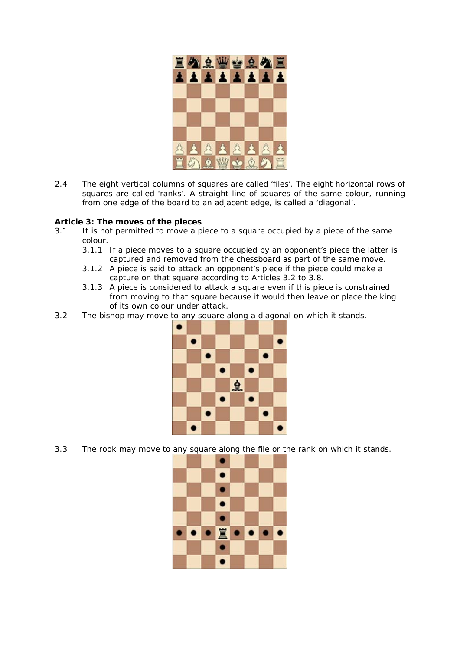

2.4 The eight vertical columns of squares are called 'files'. The eight horizontal rows of squares are called 'ranks'. A straight line of squares of the same colour, running from one edge of the board to an adjacent edge, is called a 'diagonal'.

#### **Article 3: The moves of the pieces**

- 3.1 It is not permitted to move a piece to a square occupied by a piece of the same colour.
	- 3.1.1 If a piece moves to a square occupied by an opponent's piece the latter is captured and removed from the chessboard as part of the same move.
	- 3.1.2 A piece is said to attack an opponent's piece if the piece could make a capture on that square according to Articles 3.2 to 3.8.
	- 3.1.3 A piece is considered to attack a square even if this piece is constrained from moving to that square because it would then leave or place the king of its own colour under attack.
- 3.2 The bishop may move to any square along a diagonal on which it stands.



3.3 The rook may move to any square along the file or the rank on which it stands.

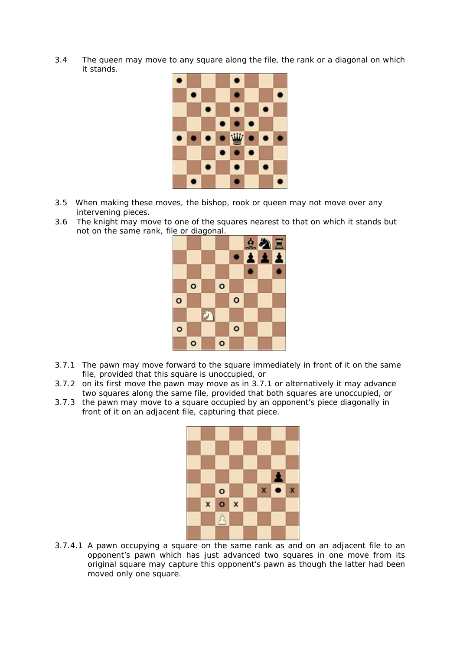3.4 The queen may move to any square along the file, the rank or a diagonal on which it stands.



- 3.5 When making these moves, the bishop, rook or queen may not move over any intervening pieces.
- 3.6 The knight may move to one of the squares nearest to that on which it stands but not on the same rank, file or diagonal.



- 3.7.1 The pawn may move forward to the square immediately in front of it on the same file, provided that this square is unoccupied, or
- 3.7.2 on its first move the pawn may move as in 3.7.1 or alternatively it may advance two squares along the same file, provided that both squares are unoccupied, or
- 3.7.3 the pawn may move to a square occupied by an opponent's piece diagonally in front of it on an adjacent file, capturing that piece.



3.7.4.1 A pawn occupying a square on the same rank as and on an adjacent file to an opponent's pawn which has just advanced two squares in one move from its original square may capture this opponent's pawn as though the latter had been moved only one square.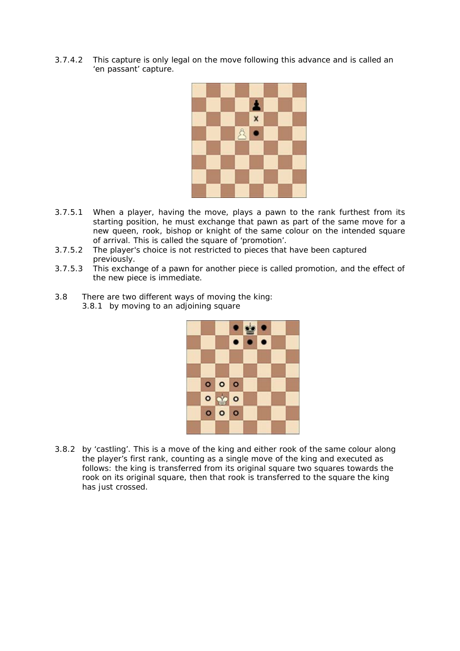3.7.4.2 This capture is only legal on the move following this advance and is called an 'en passant' capture.



- 3.7.5.1 When a player, having the move, plays a pawn to the rank furthest from its starting position, he must exchange that pawn as part of the same move for a new queen, rook, bishop or knight of the same colour on the intended square of arrival. This is called the square of 'promotion'.
- 3.7.5.2 The player's choice is not restricted to pieces that have been captured previously.
- 3.7.5.3 This exchange of a pawn for another piece is called promotion, and the effect of the new piece is immediate.
- 3.8 There are two different ways of moving the king: 3.8.1 by moving to an adjoining square



3.8.2 by 'castling'. This is a move of the king and either rook of the same colour along the player's first rank, counting as a single move of the king and executed as follows: the king is transferred from its original square two squares towards the rook on its original square, then that rook is transferred to the square the king has just crossed.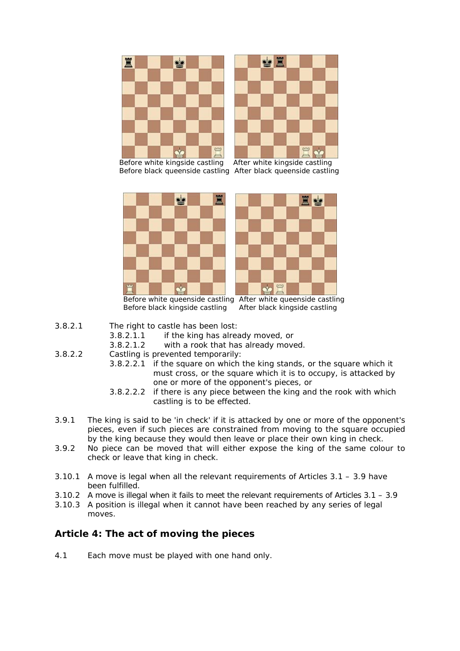



 Before white kingside castling After white kingside castling Before black queenside castling After black queenside castling





 Before white queenside castling After white queenside castling Before black kingside castling After black kingside castling

- 3.8.2.1 The right to castle has been lost:
	- 3.8.2.1.1 if the king has already moved, or
	- 3.8.2.1.2 with a rook that has already moved.
- 3.8.2.2 Castling is prevented temporarily:
	- 3.8.2.2.1 if the square on which the king stands, or the square which it must cross, or the square which it is to occupy, is attacked by one or more of the opponent's pieces, or
	- 3.8.2.2.2 if there is any piece between the king and the rook with which castling is to be effected.
- 3.9.1 The king is said to be 'in check' if it is attacked by one or more of the opponent's pieces, even if such pieces are constrained from moving to the square occupied by the king because they would then leave or place their own king in check.
- 3.9.2 No piece can be moved that will either expose the king of the same colour to check or leave that king in check.
- 3.10.1 A move is legal when all the relevant requirements of Articles 3.1 3.9 have been fulfilled.
- 3.10.2 A move is illegal when it fails to meet the relevant requirements of Articles 3.1 3.9
- 3.10.3 A position is illegal when it cannot have been reached by any series of legal moves.

# **Article 4: The act of moving the pieces**

4.1 Each move must be played with one hand only.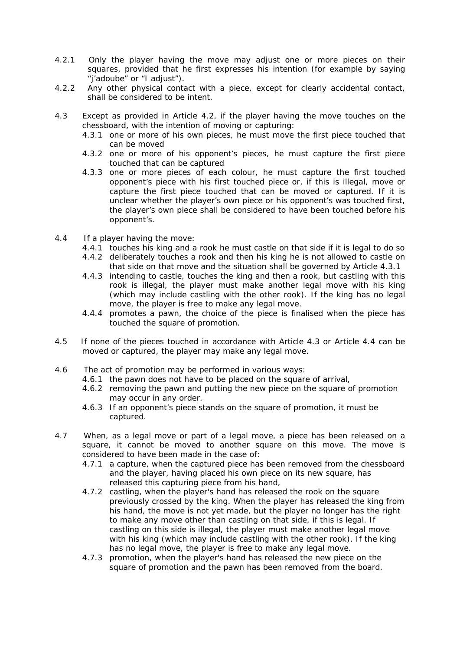- 4.2.1 Only the player having the move may adjust one or more pieces on their squares, provided that he first expresses his intention (for example by saying "j'adoube" or "I adjust").
- 4.2.2 Any other physical contact with a piece, except for clearly accidental contact, shall be considered to be intent.
- 4.3 Except as provided in Article 4.2, if the player having the move touches on the chessboard, with the intention of moving or capturing:
	- 4.3.1 one or more of his own pieces, he must move the first piece touched that can be moved
	- 4.3.2 one or more of his opponent's pieces, he must capture the first piece touched that can be captured
	- 4.3.3 one or more pieces of each colour, he must capture the first touched opponent's piece with his first touched piece or, if this is illegal, move or capture the first piece touched that can be moved or captured. If it is unclear whether the player's own piece or his opponent's was touched first, the player's own piece shall be considered to have been touched before his opponent's.
- 4.4 If a player having the move:
	- 4.4.1 touches his king and a rook he must castle on that side if it is legal to do so
	- 4.4.2 deliberately touches a rook and then his king he is not allowed to castle on that side on that move and the situation shall be governed by Article 4.3.1
	- 4.4.3 intending to castle, touches the king and then a rook, but castling with this rook is illegal, the player must make another legal move with his king (which may include castling with the other rook). If the king has no legal move, the player is free to make any legal move.
	- 4.4.4 promotes a pawn, the choice of the piece is finalised when the piece has touched the square of promotion.
- 4.5 If none of the pieces touched in accordance with Article 4.3 or Article 4.4 can be moved or captured, the player may make any legal move.
- 4.6 The act of promotion may be performed in various ways:
	- 4.6.1 the pawn does not have to be placed on the square of arrival,
	- 4.6.2 removing the pawn and putting the new piece on the square of promotion may occur in any order.
	- 4.6.3 If an opponent's piece stands on the square of promotion, it must be captured.
- 4.7 When, as a legal move or part of a legal move, a piece has been released on a square, it cannot be moved to another square on this move. The move is considered to have been made in the case of:
	- 4.7.1 a capture, when the captured piece has been removed from the chessboard and the player, having placed his own piece on its new square, has released this capturing piece from his hand,
	- 4.7.2 castling, when the player's hand has released the rook on the square previously crossed by the king. When the player has released the king from his hand, the move is not yet made, but the player no longer has the right to make any move other than castling on that side, if this is legal. If castling on this side is illegal, the player must make another legal move with his king (which may include castling with the other rook). If the king has no legal move, the player is free to make any legal move.
	- 4.7.3 promotion, when the player's hand has released the new piece on the square of promotion and the pawn has been removed from the board.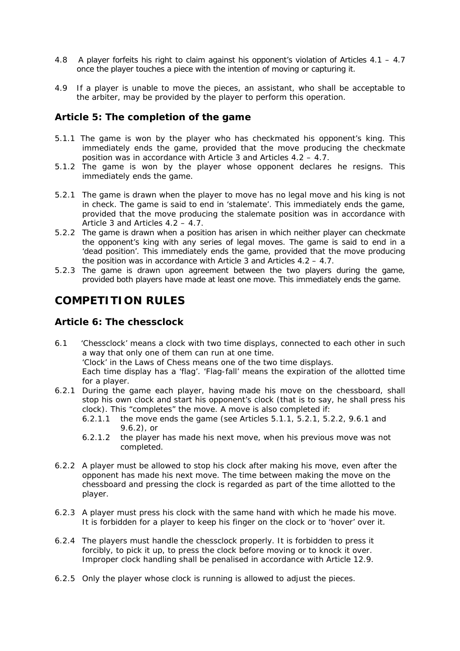- 4.8 A player forfeits his right to claim against his opponent's violation of Articles 4.1 4.7 once the player touches a piece with the intention of moving or capturing it.
- 4.9 If a player is unable to move the pieces, an assistant, who shall be acceptable to the arbiter, may be provided by the player to perform this operation.

## **Article 5: The completion of the game**

- 5.1.1 The game is won by the player who has checkmated his opponent's king. This immediately ends the game, provided that the move producing the checkmate position was in accordance with Article 3 and Articles 4.2 – 4.7.
- 5.1.2The game is won by the player whose opponent declares he resigns. This immediately ends the game.
- 5.2.1 The game is drawn when the player to move has no legal move and his king is not in check. The game is said to end in 'stalemate'. This immediately ends the game, provided that the move producing the stalemate position was in accordance with Article 3 and Articles 4.2 – 4.7.
- 5.2.2 The game is drawn when a position has arisen in which neither player can checkmate the opponent's king with any series of legal moves. The game is said to end in a 'dead position'. This immediately ends the game, provided that the move producing the position was in accordance with Article 3 and Articles 4.2 – 4.7.
- 5.2.3 The game is drawn upon agreement between the two players during the game, provided both players have made at least one move. This immediately ends the game.

# **COMPETITION RULES**

## **Article 6: The chessclock**

- 6.1 'Chessclock' means a clock with two time displays, connected to each other in such a way that only one of them can run at one time. 'Clock' in the Laws of Chess means one of the two time displays. Each time display has a 'flag'. 'Flag-fall' means the expiration of the allotted time for a player.
- 6.2.1 During the game each player, having made his move on the chessboard, shall stop his own clock and start his opponent's clock (that is to say, he shall press his clock). This "completes" the move. A move is also completed if:
	- 6.2.1.1 the move ends the game (see Articles 5.1.1, 5.2.1, 5.2.2, 9.6.1 and 9.6.2), or
	- 6.2.1.2 the player has made his next move, when his previous move was not completed.
- 6.2.2 A player must be allowed to stop his clock after making his move, even after the opponent has made his next move. The time between making the move on the chessboard and pressing the clock is regarded as part of the time allotted to the player.
- 6.2.3 A player must press his clock with the same hand with which he made his move. It is forbidden for a player to keep his finger on the clock or to 'hover' over it.
- 6.2.4 The players must handle the chessclock properly. It is forbidden to press it forcibly, to pick it up, to press the clock before moving or to knock it over. Improper clock handling shall be penalised in accordance with Article 12.9.
- 6.2.5 Only the player whose clock is running is allowed to adjust the pieces.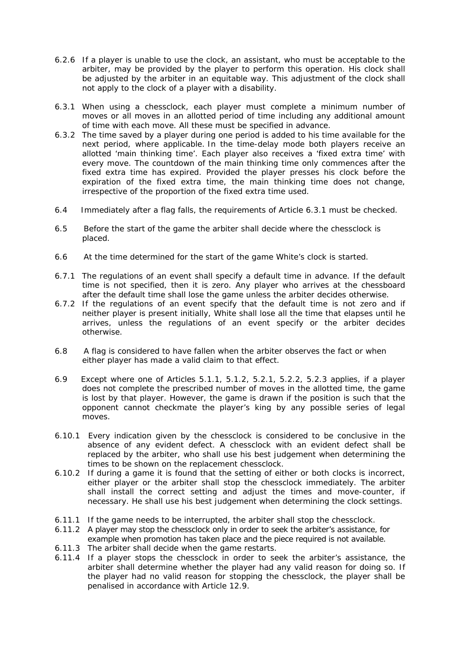- 6.2.6 If a player is unable to use the clock, an assistant, who must be acceptable to the arbiter, may be provided by the player to perform this operation. His clock shall be adjusted by the arbiter in an equitable way. This adjustment of the clock shall not apply to the clock of a player with a disability.
- 6.3.1 When using a chessclock, each player must complete a minimum number of moves or all moves in an allotted period of time including any additional amount of time with each move. All these must be specified in advance.
- 6.3.2 The time saved by a player during one period is added to his time available for the next period, where applicable. In the time-delay mode both players receive an allotted 'main thinking time'. Each player also receives a 'fixed extra time' with every move. The countdown of the main thinking time only commences after the fixed extra time has expired. Provided the player presses his clock before the expiration of the fixed extra time, the main thinking time does not change, irrespective of the proportion of the fixed extra time used.
- 6.4 Immediately after a flag falls, the requirements of Article 6.3.1 must be checked.
- 6.5 Before the start of the game the arbiter shall decide where the chessclock is placed.
- 6.6 At the time determined for the start of the game White's clock is started.
- 6.7.1 The regulations of an event shall specify a default time in advance. If the default time is not specified, then it is zero. Any player who arrives at the chessboard after the default time shall lose the game unless the arbiter decides otherwise.
- 6.7.2 If the regulations of an event specify that the default time is not zero and if neither player is present initially, White shall lose all the time that elapses until he arrives, unless the regulations of an event specify or the arbiter decides otherwise.
- 6.8 A flag is considered to have fallen when the arbiter observes the fact or when either player has made a valid claim to that effect.
- 6.9 Except where one of Articles 5.1.1, 5.1.2, 5.2.1, 5.2.2, 5.2.3 applies, if a player does not complete the prescribed number of moves in the allotted time, the game is lost by that player. However, the game is drawn if the position is such that the opponent cannot checkmate the player's king by any possible series of legal moves.
- 6.10.1 Every indication given by the chessclock is considered to be conclusive in the absence of any evident defect. A chessclock with an evident defect shall be replaced by the arbiter, who shall use his best judgement when determining the times to be shown on the replacement chessclock.
- 6.10.2 If during a game it is found that the setting of either or both clocks is incorrect, either player or the arbiter shall stop the chessclock immediately. The arbiter shall install the correct setting and adjust the times and move-counter, if necessary. He shall use his best judgement when determining the clock settings.
- 6.11.1 If the game needs to be interrupted, the arbiter shall stop the chessclock.
- 6.11.2 A player may stop the chessclock only in order to seek the arbiter's assistance, for example when promotion has taken place and the piece required is not available.
- 6.11.3 The arbiter shall decide when the game restarts.
- 6.11.4 If a player stops the chessclock in order to seek the arbiter's assistance, the arbiter shall determine whether the player had any valid reason for doing so. If the player had no valid reason for stopping the chessclock, the player shall be penalised in accordance with Article 12.9.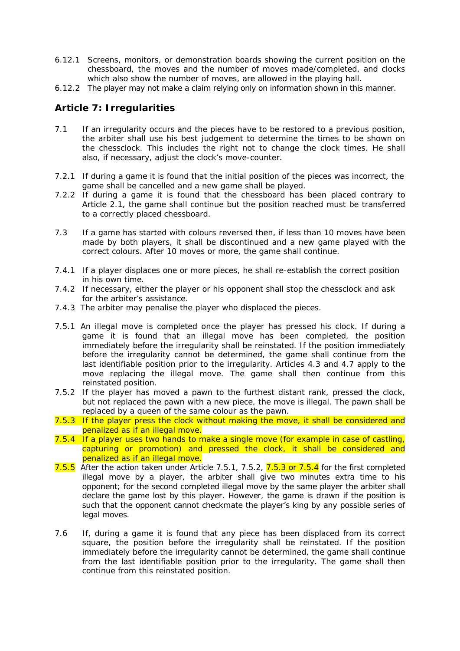- 6.12.1 Screens, monitors, or demonstration boards showing the current position on the chessboard, the moves and the number of moves made/completed, and clocks which also show the number of moves, are allowed in the playing hall.
- 6.12.2 The player may not make a claim relying only on information shown in this manner.

# **Article 7: Irregularities**

- 7.1 If an irregularity occurs and the pieces have to be restored to a previous position, the arbiter shall use his best judgement to determine the times to be shown on the chessclock. This includes the right not to change the clock times. He shall also, if necessary, adjust the clock's move-counter.
- 7.2.1 If during a game it is found that the initial position of the pieces was incorrect, the game shall be cancelled and a new game shall be played.
- 7.2.2 If during a game it is found that the chessboard has been placed contrary to Article 2.1, the game shall continue but the position reached must be transferred to a correctly placed chessboard.
- 7.3 If a game has started with colours reversed then, if less than 10 moves have been made by both players, it shall be discontinued and a new game played with the correct colours. After 10 moves or more, the game shall continue.
- 7.4.1 If a player displaces one or more pieces, he shall re-establish the correct position in his own time.
- 7.4.2 If necessary, either the player or his opponent shall stop the chessclock and ask for the arbiter's assistance.
- 7.4.3 The arbiter may penalise the player who displaced the pieces.
- 7.5.1 An illegal move is completed once the player has pressed his clock. If during a game it is found that an illegal move has been completed, the position immediately before the irregularity shall be reinstated. If the position immediately before the irregularity cannot be determined, the game shall continue from the last identifiable position prior to the irregularity. Articles 4.3 and 4.7 apply to the move replacing the illegal move. The game shall then continue from this reinstated position.
- 7.5.2 If the player has moved a pawn to the furthest distant rank, pressed the clock, but not replaced the pawn with a new piece, the move is illegal. The pawn shall be replaced by a queen of the same colour as the pawn.
- 7.5.3 If the player press the clock without making the move, it shall be considered and penalized as if an illegal move.
- 7.5.4 If a player uses two hands to make a single move (for example in case of castling, capturing or promotion) and pressed the clock, it shall be considered and penalized as if an illegal move.
- 7.5.5 After the action taken under Article 7.5.1, 7.5.2, 7.5.3 or 7.5.4 for the first completed illegal move by a player, the arbiter shall give two minutes extra time to his opponent; for the second completed illegal move by the same player the arbiter shall declare the game lost by this player. However, the game is drawn if the position is such that the opponent cannot checkmate the player's king by any possible series of legal moves.
- 7.6 If, during a game it is found that any piece has been displaced from its correct square, the position before the irregularity shall be reinstated. If the position immediately before the irregularity cannot be determined, the game shall continue from the last identifiable position prior to the irregularity. The game shall then continue from this reinstated position.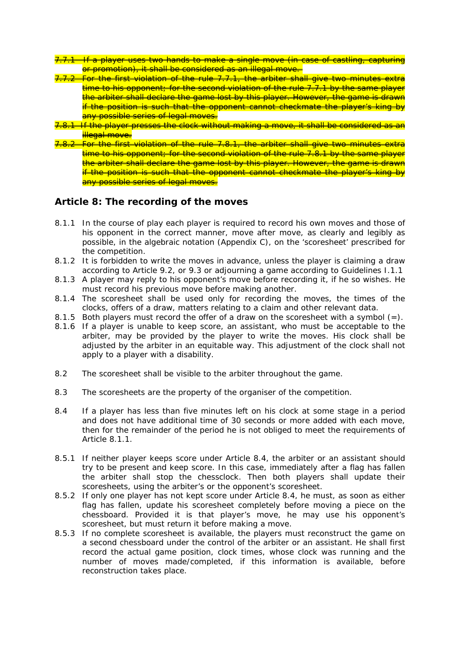- 7.7.1 If a player uses two hands to make a single move (in case of castling, capturing or promotion), it shall be considered as an illegal move.
- For the first violation of the rule 7.7.1, the arbiter shall give two minutes extra time to his opponent; for the second violation of the rule 7.7.1 by the same player the arbiter shall declare the game lost by this player. However, the game is drawn if the position is such that the opponent cannot checkmate the player's king by any possible series of legal moves.
- 7.8.1 If the player presses the clock without making a move, it shall be considered as an illegal move.
- For the first violation of the rule 7.8.1, the arbiter shall give two minutes extra time to his opponent; for the second violation of the rule 7.8.1 by the same player the arbiter shall declare the game lost by this player. However, the game is drawn if the position is such that the opponent cannot checkmate the player's king by any possible series of legal moves.

## **Article 8: The recording of the moves**

- 8.1.1 In the course of play each player is required to record his own moves and those of his opponent in the correct manner, move after move, as clearly and legibly as possible, in the algebraic notation (Appendix C), on the 'scoresheet' prescribed for the competition.
- 8.1.2 It is forbidden to write the moves in advance, unless the player is claiming a draw according to Article 9.2, or 9.3 or adjourning a game according to Guidelines I.1.1
- 8.1.3 A player may reply to his opponent's move before recording it, if he so wishes. He must record his previous move before making another.
- 8.1.4 The scoresheet shall be used only for recording the moves, the times of the clocks, offers of a draw, matters relating to a claim and other relevant data.
- 8.1.5 Both players must record the offer of a draw on the scoresheet with a symbol  $(=)$ .
- 8.1.6 If a player is unable to keep score, an assistant, who must be acceptable to the arbiter, may be provided by the player to write the moves. His clock shall be adjusted by the arbiter in an equitable way. This adjustment of the clock shall not apply to a player with a disability.
- 8.2 The scoresheet shall be visible to the arbiter throughout the game.
- 8.3 The scoresheets are the property of the organiser of the competition.
- 8.4 If a player has less than five minutes left on his clock at some stage in a period and does not have additional time of 30 seconds or more added with each move, then for the remainder of the period he is not obliged to meet the requirements of Article 8.1.1.
- 8.5.1 If neither player keeps score under Article 8.4, the arbiter or an assistant should try to be present and keep score. In this case, immediately after a flag has fallen the arbiter shall stop the chessclock. Then both players shall update their scoresheets, using the arbiter's or the opponent's scoresheet.
- 8.5.2 If only one player has not kept score under Article 8.4, he must, as soon as either flag has fallen, update his scoresheet completely before moving a piece on the chessboard. Provided it is that player's move, he may use his opponent's scoresheet, but must return it before making a move.
- 8.5.3 If no complete scoresheet is available, the players must reconstruct the game on a second chessboard under the control of the arbiter or an assistant. He shall first record the actual game position, clock times, whose clock was running and the number of moves made/completed, if this information is available, before reconstruction takes place.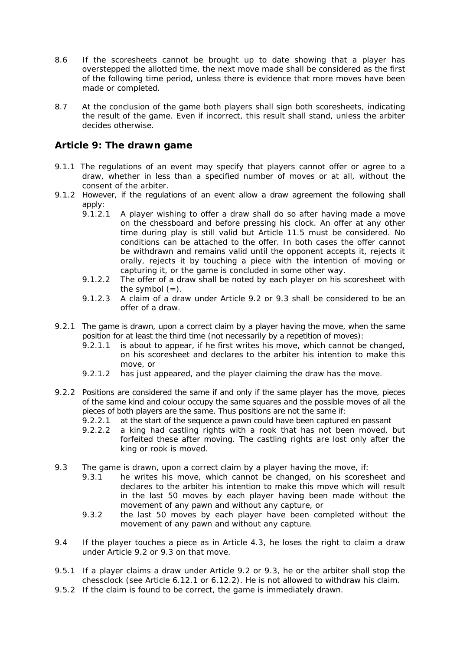- 8.6 If the scoresheets cannot be brought up to date showing that a player has overstepped the allotted time, the next move made shall be considered as the first of the following time period, unless there is evidence that more moves have been made or completed.
- 8.7 At the conclusion of the game both players shall sign both scoresheets, indicating the result of the game. Even if incorrect, this result shall stand, unless the arbiter decides otherwise.

# **Article 9: The drawn game**

- 9.1.1 The regulations of an event may specify that players cannot offer or agree to a draw, whether in less than a specified number of moves or at all, without the consent of the arbiter.
- 9.1.2 However, if the regulations of an event allow a draw agreement the following shall apply:
	- 9.1.2.1 A player wishing to offer a draw shall do so after having made a move on the chessboard and before pressing his clock. An offer at any other time during play is still valid but Article 11.5 must be considered. No conditions can be attached to the offer. In both cases the offer cannot be withdrawn and remains valid until the opponent accepts it, rejects it orally, rejects it by touching a piece with the intention of moving or capturing it, or the game is concluded in some other way.
	- 9.1.2.2 The offer of a draw shall be noted by each player on his scoresheet with the symbol  $(=)$ .
	- 9.1.2.3 A claim of a draw under Article 9.2 or 9.3 shall be considered to be an offer of a draw.
- 9.2.1 The game is drawn, upon a correct claim by a player having the move, when the same position for at least the third time (not necessarily by a repetition of moves):
	- 9.2.1.1 is about to appear, if he first writes his move, which cannot be changed, on his scoresheet and declares to the arbiter his intention to make this move, or
	- 9.2.1.2 has just appeared, and the player claiming the draw has the move.
- 9.2.2 Positions are considered the same if and only if the same player has the move, pieces of the same kind and colour occupy the same squares and the possible moves of all the pieces of both players are the same. Thus positions are not the same if:
	- 9.2.2.1 at the start of the sequence a pawn could have been captured en passant
	- 9.2.2.2 a king had castling rights with a rook that has not been moved, but forfeited these after moving. The castling rights are lost only after the king or rook is moved.
- 9.3 The game is drawn, upon a correct claim by a player having the move, if:
	- 9.3.1 he writes his move, which cannot be changed, on his scoresheet and declares to the arbiter his intention to make this move which will result in the last 50 moves by each player having been made without the movement of any pawn and without any capture, or
	- 9.3.2 the last 50 moves by each player have been completed without the movement of any pawn and without any capture.
- 9.4 If the player touches a piece as in Article 4.3, he loses the right to claim a draw under Article 9.2 or 9.3 on that move.
- 9.5.1 If a player claims a draw under Article 9.2 or 9.3, he or the arbiter shall stop the chessclock (see Article 6.12.1 or 6.12.2). He is not allowed to withdraw his claim.
- 9.5.2 If the claim is found to be correct, the game is immediately drawn.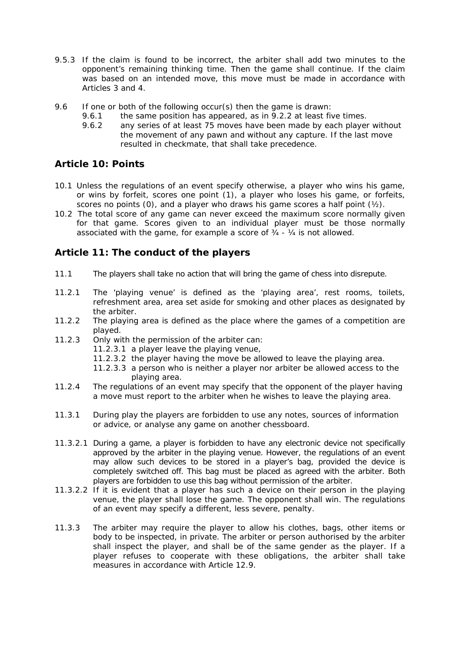- 9.5.3 If the claim is found to be incorrect, the arbiter shall add two minutes to the opponent's remaining thinking time. Then the game shall continue. If the claim was based on an intended move, this move must be made in accordance with Articles 3 and 4.
- 9.6 If one or both of the following occur(s) then the game is drawn:
	- 9.6.1 the same position has appeared, as in 9.2.2 at least five times.
	- 9.6.2 any series of at least 75 moves have been made by each player without the movement of any pawn and without any capture. If the last move resulted in checkmate, that shall take precedence.

# **Article 10: Points**

- 10.1 Unless the regulations of an event specify otherwise, a player who wins his game, or wins by forfeit, scores one point (1), a player who loses his game, or forfeits, scores no points  $(0)$ , and a player who draws his game scores a half point  $(y_2)$ .
- 10.2 The total score of any game can never exceed the maximum score normally given for that game. Scores given to an individual player must be those normally associated with the game, for example a score of ¾ - ¼ is not allowed.

# **Article 11: The conduct of the players**

- 11.1 The players shall take no action that will bring the game of chess into disrepute.
- 11.2.1 The 'playing venue' is defined as the 'playing area', rest rooms, toilets, refreshment area, area set aside for smoking and other places as designated by the arbiter.
- 11.2.2 The playing area is defined as the place where the games of a competition are played.
- 11.2.3 Only with the permission of the arbiter can:
	- 11.2.3.1 a player leave the playing venue,
	- 11.2.3.2 the player having the move be allowed to leave the playing area.
	- 11.2.3.3 a person who is neither a player nor arbiter be allowed access to the playing area.
- 11.2.4 The regulations of an event may specify that the opponent of the player having a move must report to the arbiter when he wishes to leave the playing area.
- 11.3.1 During play the players are forbidden to use any notes, sources of information or advice, or analyse any game on another chessboard.
- 11.3.2.1 During a game, a player is forbidden to have any electronic device not specifically approved by the arbiter in the playing venue. However, the regulations of an event may allow such devices to be stored in a player's bag, provided the device is completely switched off. This bag must be placed as agreed with the arbiter. Both players are forbidden to use this bag without permission of the arbiter.
- 11.3.2.2 If it is evident that a player has such a device on their person in the playing venue, the player shall lose the game. The opponent shall win. The regulations of an event may specify a different, less severe, penalty.
- 11.3.3 The arbiter may require the player to allow his clothes, bags, other items or body to be inspected, in private. The arbiter or person authorised by the arbiter shall inspect the player, and shall be of the same gender as the player. If a player refuses to cooperate with these obligations, the arbiter shall take measures in accordance with Article 12.9.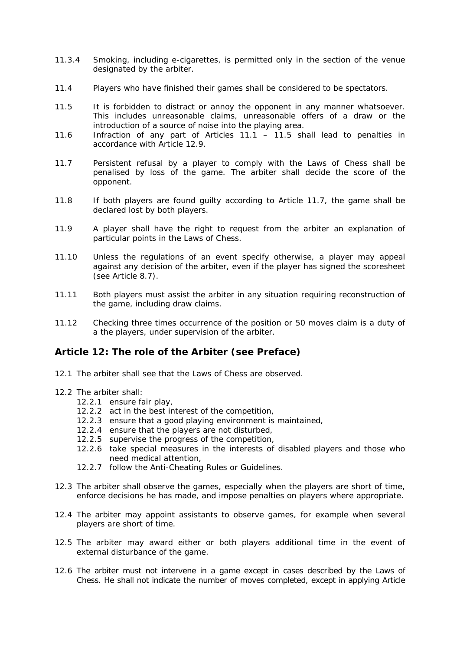- 11.3.4 Smoking, including e-cigarettes, is permitted only in the section of the venue designated by the arbiter.
- 11.4 Players who have finished their games shall be considered to be spectators.
- 11.5 It is forbidden to distract or annoy the opponent in any manner whatsoever. This includes unreasonable claims, unreasonable offers of a draw or the introduction of a source of noise into the playing area.
- 11.6 Infraction of any part of Articles 11.1 11.5 shall lead to penalties in accordance with Article 12.9.
- 11.7 Persistent refusal by a player to comply with the Laws of Chess shall be penalised by loss of the game. The arbiter shall decide the score of the opponent.
- 11.8 If both players are found guilty according to Article 11.7, the game shall be declared lost by both players.
- 11.9 A player shall have the right to request from the arbiter an explanation of particular points in the Laws of Chess.
- 11.10 Unless the regulations of an event specify otherwise, a player may appeal against any decision of the arbiter, even if the player has signed the scoresheet (see Article 8.7).
- 11.11 Both players must assist the arbiter in any situation requiring reconstruction of the game, including draw claims.
- 11.12 Checking three times occurrence of the position or 50 moves claim is a duty of a the players, under supervision of the arbiter.

### **Article 12: The role of the Arbiter (see Preface)**

- 12.1 The arbiter shall see that the Laws of Chess are observed.
- 12.2 The arbiter shall:
	- 12.2.1 ensure fair play,
	- 12.2.2 act in the best interest of the competition,
	- 12.2.3 ensure that a good playing environment is maintained,
	- 12.2.4 ensure that the players are not disturbed,
	- 12.2.5 supervise the progress of the competition,
	- 12.2.6 take special measures in the interests of disabled players and those who need medical attention,
	- 12.2.7 follow the Anti-Cheating Rules or Guidelines.
- 12.3 The arbiter shall observe the games, especially when the players are short of time, enforce decisions he has made, and impose penalties on players where appropriate.
- 12.4 The arbiter may appoint assistants to observe games, for example when several players are short of time.
- 12.5 The arbiter may award either or both players additional time in the event of external disturbance of the game.
- 12.6 The arbiter must not intervene in a game except in cases described by the Laws of Chess. He shall not indicate the number of moves completed, except in applying Article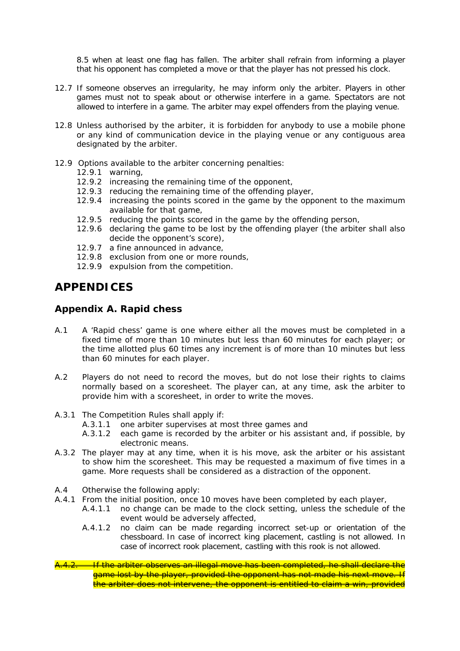8.5 when at least one flag has fallen. The arbiter shall refrain from informing a player that his opponent has completed a move or that the player has not pressed his clock.

- 12.7 If someone observes an irregularity, he may inform only the arbiter. Players in other games must not to speak about or otherwise interfere in a game. Spectators are not allowed to interfere in a game. The arbiter may expel offenders from the playing venue.
- 12.8 Unless authorised by the arbiter, it is forbidden for anybody to use a mobile phone or any kind of communication device in the playing venue or any contiguous area designated by the arbiter.
- 12.9 Options available to the arbiter concerning penalties:
	- 12.9.1 warning,
	- 12.9.2 increasing the remaining time of the opponent,
	- 12.9.3 reducing the remaining time of the offending player,
	- 12.9.4 increasing the points scored in the game by the opponent to the maximum available for that game,
	- 12.9.5 reducing the points scored in the game by the offending person,
	- 12.9.6 declaring the game to be lost by the offending player (the arbiter shall also decide the opponent's score),
	- 12.9.7 a fine announced in advance,
	- 12.9.8 exclusion from one or more rounds,
	- 12.9.9 expulsion from the competition.

# **APPENDICES**

### **Appendix A. Rapid chess**

- A.1 A 'Rapid chess' game is one where either all the moves must be completed in a fixed time of more than 10 minutes but less than 60 minutes for each player; or the time allotted plus 60 times any increment is of more than 10 minutes but less than 60 minutes for each player.
- A.2 Players do not need to record the moves, but do not lose their rights to claims normally based on a scoresheet. The player can, at any time, ask the arbiter to provide him with a scoresheet, in order to write the moves.
- A.3.1 The Competition Rules shall apply if:
	- A.3.1.1 one arbiter supervises at most three games and
	- A.3.1.2 each game is recorded by the arbiter or his assistant and, if possible, by electronic means.
- A.3.2 The player may at any time, when it is his move, ask the arbiter or his assistant to show him the scoresheet. This may be requested a maximum of five times in a game. More requests shall be considered as a distraction of the opponent.
- A.4 Otherwise the following apply:
- A.4.1 From the initial position, once 10 moves have been completed by each player,
	- A.4.1.1 no change can be made to the clock setting, unless the schedule of the event would be adversely affected,
	- A.4.1.2 no claim can be made regarding incorrect set-up or orientation of the chessboard. In case of incorrect king placement, castling is not allowed. In case of incorrect rook placement, castling with this rook is not allowed.
- <mark>H<sup>e</sup>the arbiter observes an illegal move has been completed, he shall declare the</mark> game lost by the player, provided the opponent has not made his next move. If the arbiter does not intervene, the opponent is entitled to claim a win, provided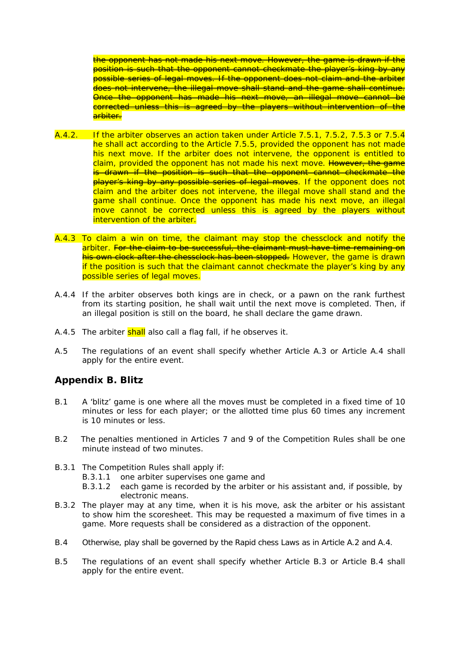the opponent has not made his next move. However, the game is drawn if the position is such that the opponent cannot checkmate the player's king by any possible series of legal moves. If the opponent does not claim and the arbiter does not intervene, the illegal move shall stand and the game shall continue. Once the opponent has made his next move, an illegal move cannot be corrected unless this is agreed by the players without intervention of the arbiter.

- A.4.2. If the arbiter observes an action taken under Article 7.5.1, 7.5.2, 7.5.3 or 7.5.4 he shall act according to the Article 7.5.5, provided the opponent has not made his next move. If the arbiter does not intervene, the opponent is entitled to claim, provided the opponent has not made his next move. However, the game is drawn if the position is such that the opponent cannot checkmate the player's king by any possible series of legal moves. If the opponent does not claim and the arbiter does not intervene, the illegal move shall stand and the game shall continue. Once the opponent has made his next move, an illegal move cannot be corrected unless this is agreed by the players without intervention of the arbiter.
- A.4.3 To claim a win on time, the claimant may stop the chessclock and notify the arbiter. For the claim to be successful, the claimant must have time remaining on his own clock after the chessclock has been stopped. However, the game is drawn if the position is such that the claimant cannot checkmate the player's king by any possible series of legal moves.
- A.4.4 If the arbiter observes both kings are in check, or a pawn on the rank furthest from its starting position, he shall wait until the next move is completed. Then, if an illegal position is still on the board, he shall declare the game drawn.
- A.4.5 The arbiter shall also call a flag fall, if he observes it.
- A.5 The regulations of an event shall specify whether Article A.3 or Article A.4 shall apply for the entire event.

## **Appendix B. Blitz**

- B.1 A 'blitz' game is one where all the moves must be completed in a fixed time of 10 minutes or less for each player; or the allotted time plus 60 times any increment is 10 minutes or less.
- B.2 The penalties mentioned in Articles 7 and 9 of the Competition Rules shall be one minute instead of two minutes.
- B.3.1 The Competition Rules shall apply if:
	- B.3.1.1 one arbiter supervises one game and
	- B.3.1.2 each game is recorded by the arbiter or his assistant and, if possible, by electronic means.
- B.3.2 The player may at any time, when it is his move, ask the arbiter or his assistant to show him the scoresheet. This may be requested a maximum of five times in a game. More requests shall be considered as a distraction of the opponent.
- B.4 Otherwise, play shall be governed by the Rapid chess Laws as in Article A.2 and A.4.
- B.5 The regulations of an event shall specify whether Article B.3 or Article B.4 shall apply for the entire event.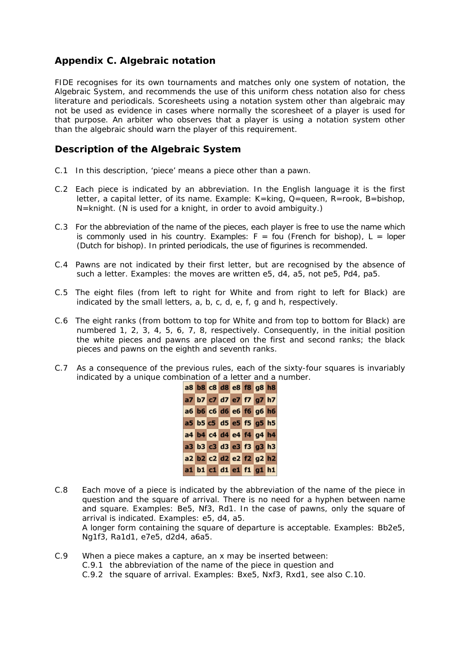# **Appendix C. Algebraic notation**

FIDE recognises for its own tournaments and matches only one system of notation, the Algebraic System, and recommends the use of this uniform chess notation also for chess literature and periodicals. Scoresheets using a notation system other than algebraic may not be used as evidence in cases where normally the scoresheet of a player is used for that purpose. An arbiter who observes that a player is using a notation system other than the algebraic should warn the player of this requirement.

## **Description of the Algebraic System**

- C.1 In this description, 'piece' means a piece other than a pawn.
- C.2 Each piece is indicated by an abbreviation. In the English language it is the first letter, a capital letter, of its name. Example: K=king, Q=queen, R=rook, B=bishop, N=knight. (N is used for a knight, in order to avoid ambiguity.)
- C.3 For the abbreviation of the name of the pieces, each player is free to use the name which is commonly used in his country. Examples:  $F = f \circ u$  (French for bishop),  $L = I$  loper (Dutch for bishop). In printed periodicals, the use of figurines is recommended.
- C.4 Pawns are not indicated by their first letter, but are recognised by the absence of such a letter. Examples: the moves are written e5, d4, a5, not pe5, Pd4, pa5.
- C.5 The eight files (from left to right for White and from right to left for Black) are indicated by the small letters, a, b, c, d, e, f, g and h, respectively.
- C.6 The eight ranks (from bottom to top for White and from top to bottom for Black) are numbered 1, 2, 3, 4, 5, 6, 7, 8, respectively. Consequently, in the initial position the white pieces and pawns are placed on the first and second ranks; the black pieces and pawns on the eighth and seventh ranks.
- C.7 As a consequence of the previous rules, each of the sixty-four squares is invariably indicated by a unique combination of a letter and a number.

| a8 b8 c8 d8 e8 f8 g8 h8 |  |  |  |  |
|-------------------------|--|--|--|--|
| a7 b7 c7 d7 e7 f7 g7 h7 |  |  |  |  |
| a6 b6 c6 d6 e6 f6 g6 h6 |  |  |  |  |
| a5 b5 c5 d5 e5 f5 g5 h5 |  |  |  |  |
| a4 b4 c4 d4 e4 f4 g4 h4 |  |  |  |  |
| a3 b3 c3 d3 e3 f3 g3 h3 |  |  |  |  |
| a2 b2 c2 d2 e2 f2 g2 h2 |  |  |  |  |
| a1 b1 c1 d1 e1 f1 g1 h1 |  |  |  |  |

- C.8 Each move of a piece is indicated by the abbreviation of the name of the piece in question and the square of arrival. There is no need for a hyphen between name and square. Examples: Be5, Nf3, Rd1. In the case of pawns, only the square of arrival is indicated. Examples: e5, d4, a5. A longer form containing the square of departure is acceptable. Examples: Bb2e5, Ng1f3, Ra1d1, e7e5, d2d4, a6a5.
- C.9 When a piece makes a capture, an x may be inserted between: C.9.1 the abbreviation of the name of the piece in question and C.9.2 the square of arrival. Examples: Bxe5, Nxf3, Rxd1, see also C.10.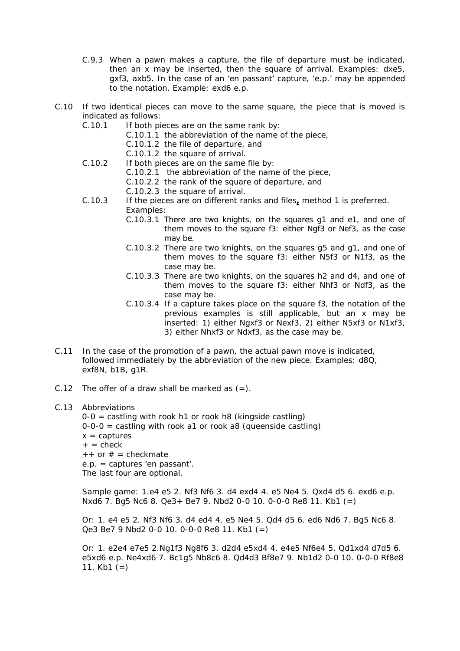- C.9.3 When a pawn makes a capture, the file of departure must be indicated, then an x may be inserted, then the square of arrival. Examples: dxe5, gxf3, axb5. In the case of an 'en passant' capture, 'e.p.' may be appended to the notation. Example: exd6 e.p.
- C.10 If two identical pieces can move to the same square, the piece that is moved is indicated as follows:
	- C.10.1 If both pieces are on the same rank by:
		- C.10.1.1 the abbreviation of the name of the piece,
		- C.10.1.2 the file of departure, and
		- C.10.1.2 the square of arrival.
	- C.10.2 If both pieces are on the same file by:
		- C.10.2.1 the abbreviation of the name of the piece,
		- C.10.2.2 the rank of the square of departure, and
		- C.10.2.3 the square of arrival.
	- C.10.3 If the pieces are on different ranks and files**,** method 1 is preferred. Examples:
		- C.10.3.1 There are two knights, on the squares g1 and e1, and one of them moves to the square f3: either Ngf3 or Nef3, as the case may be.
		- C.10.3.2 There are two knights, on the squares g5 and g1, and one of them moves to the square f3: either N5f3 or N1f3, as the case may be.
		- C.10.3.3 There are two knights, on the squares h2 and d4, and one of them moves to the square f3: either Nhf3 or Ndf3, as the case may be.
		- C.10.3.4 If a capture takes place on the square f3, the notation of the previous examples is still applicable, but an x may be inserted: 1) either Ngxf3 or Nexf3, 2) either N5xf3 or N1xf3, 3) either Nhxf3 or Ndxf3, as the case may be.
- C.11 In the case of the promotion of a pawn, the actual pawn move is indicated, followed immediately by the abbreviation of the new piece. Examples: d8Q, exf8N, b1B, g1R.
- C.12 The offer of a draw shall be marked as  $(=)$ .

#### C.13 Abbreviations

 $0-0$  = castling with rook h1 or rook h8 (kingside castling) 0-0-0 = castling with rook a1 or rook a8 (queenside castling)  $x =$  captures  $+$  = check  $++$  or  $# =$  checkmate e.p. = captures 'en passant'. The last four are optional.

 Sample game: 1.e4 e5 2. Nf3 Nf6 3. d4 exd4 4. e5 Ne4 5. Qxd4 d5 6. exd6 e.p. Nxd6 7. Bg5 Nc6 8. Qe3+ Be7 9. Nbd2 0-0 10. 0-0-0 Re8 11. Kb1 (=)

 Or: 1. e4 e5 2. Nf3 Nf6 3. d4 ed4 4. e5 Ne4 5. Qd4 d5 6. ed6 Nd6 7. Bg5 Nc6 8. Qe3 Be7 9 Nbd2 0-0 10. 0-0-0 Re8 11. Kb1 (=)

Or: 1. e2e4 e7e5 2.Ng1f3 Ng8f6 3. d2d4 e5xd4 4. e4e5 Nf6e4 5. Qd1xd4 d7d5 6. e5xd6 e.p. Ne4xd6 7. Bc1g5 Nb8c6 8. Qd4d3 Bf8e7 9. Nb1d2 0-0 10. 0-0-0 Rf8e8 11.  $Kb1 (=)$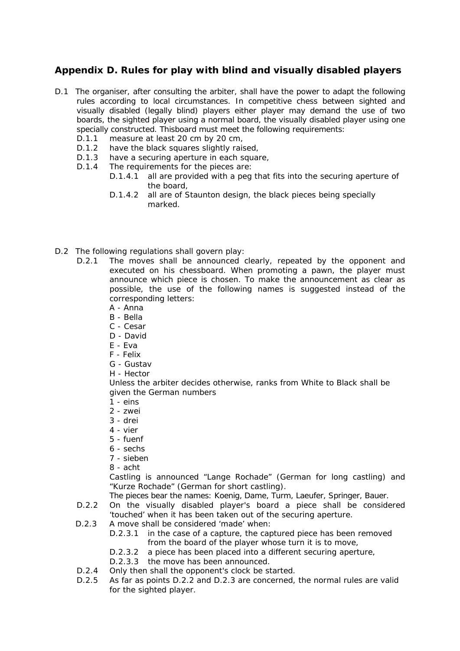# **Appendix D. Rules for play with blind and visually disabled players**

- D.1 The organiser, after consulting the arbiter, shall have the power to adapt the following rules according to local circumstances. In competitive chess between sighted and visually disabled (legally blind) players either player may demand the use of two boards, the sighted player using a normal board, the visually disabled player using one specially constructed. Thisboard must meet the following requirements:
	- D.1.1 measure at least 20 cm by 20 cm,
	- D.1.2 have the black squares slightly raised,<br>D.1.3 have a securing aperture in each square
	- have a securing aperture in each square,
	- D.1.4 The requirements for the pieces are:
		- D.1.4.1 all are provided with a peg that fits into the securing aperture of the board,
		- D.1.4.2 all are of Staunton design, the black pieces being specially marked.
- D.2 The following regulations shall govern play:
	- D.2.1 The moves shall be announced clearly, repeated by the opponent and executed on his chessboard. When promoting a pawn, the player must announce which piece is chosen. To make the announcement as clear as possible, the use of the following names is suggested instead of the corresponding letters:
		- A Anna
		- B Bella
		- C Cesar
		- D David
		- E Eva
		- F Felix
		- G Gustav
		- H Hector

Unless the arbiter decides otherwise, ranks from White to Black shall be given the German numbers

- 1 eins
- 2 zwei
- $3 -$  drei
- 4 vier
- 5 fuenf
- 6 sechs
- 7 sieben
- 8 acht

Castling is announced "Lange Rochade" (German for long castling) and "Kurze Rochade" (German for short castling).

The pieces bear the names: Koenig, Dame, Turm, Laeufer, Springer, Bauer.

- D.2.2 On the visually disabled player's board a piece shall be considered 'touched' when it has been taken out of the securing aperture.
- D.2.3 A move shall be considered 'made' when:
	- D.2.3.1 in the case of a capture, the captured piece has been removed from the board of the player whose turn it is to move,
	- D.2.3.2 a piece has been placed into a different securing aperture,
	- D.2.3.3 the move has been announced.
- D.2.4 Only then shall the opponent's clock be started.
- D.2.5 As far as points D.2.2 and D.2.3 are concerned, the normal rules are valid for the sighted player.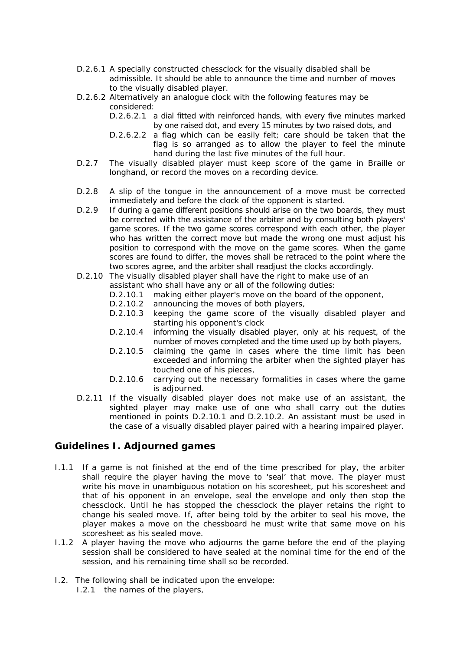- D.2.6.1 A specially constructed chessclock for the visually disabled shall be admissible. It should be able to announce the time and number of moves to the visually disabled player.
- D.2.6.2 Alternatively an analogue clock with the following features may be considered:

D.2.6.2.1 a dial fitted with reinforced hands, with every five minutes marked by one raised dot, and every 15 minutes by two raised dots, and

- D.2.6.2.2 a flag which can be easily felt; care should be taken that the flag is so arranged as to allow the player to feel the minute hand during the last five minutes of the full hour.
- D.2.7 The visually disabled player must keep score of the game in Braille or longhand, or record the moves on a recording device.
- D.2.8 A slip of the tongue in the announcement of a move must be corrected immediately and before the clock of the opponent is started.
- D.2.9 If during a game different positions should arise on the two boards, they must be corrected with the assistance of the arbiter and by consulting both players' game scores. If the two game scores correspond with each other, the player who has written the correct move but made the wrong one must adjust his position to correspond with the move on the game scores. When the game scores are found to differ, the moves shall be retraced to the point where the two scores agree, and the arbiter shall readjust the clocks accordingly.
- D.2.10 The visually disabled player shall have the right to make use of an assistant who shall have any or all of the following duties:
	- D.2.10.1 making either player's move on the board of the opponent,
	- D.2.10.2 announcing the moves of both players,
	- D.2.10.3 keeping the game score of the visually disabled player and starting his opponent's clock
	- D.2.10.4 informing the visually disabled player, only at his request, of the number of moves completed and the time used up by both players,
	- D.2.10.5 claiming the game in cases where the time limit has been exceeded and informing the arbiter when the sighted player has touched one of his pieces,
	- D.2.10.6 carrying out the necessary formalities in cases where the game is adjourned.
- D.2.11 If the visually disabled player does not make use of an assistant, the sighted player may make use of one who shall carry out the duties mentioned in points D.2.10.1 and D.2.10.2. An assistant must be used in the case of a visually disabled player paired with a hearing impaired player.

## **Guidelines I. Adjourned games**

- I.1.1 If a game is not finished at the end of the time prescribed for play, the arbiter shall require the player having the move to 'seal' that move. The player must write his move in unambiguous notation on his scoresheet, put his scoresheet and that of his opponent in an envelope, seal the envelope and only then stop the chessclock. Until he has stopped the chessclock the player retains the right to change his sealed move. If, after being told by the arbiter to seal his move, the player makes a move on the chessboard he must write that same move on his scoresheet as his sealed move.
- I.1.2 A player having the move who adjourns the game before the end of the playing session shall be considered to have sealed at the nominal time for the end of the session, and his remaining time shall so be recorded.
- I.2. The following shall be indicated upon the envelope: I.2.1 the names of the players,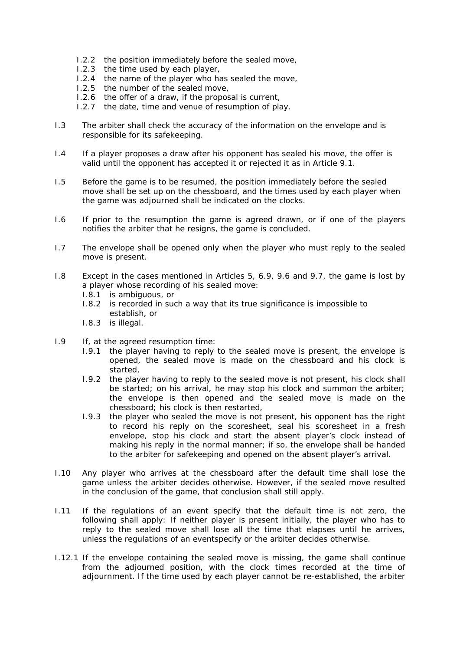- I.2.2 the position immediately before the sealed move,
- I.2.3 the time used by each player,
- I.2.4 the name of the player who has sealed the move,
- I.2.5 the number of the sealed move,
- I.2.6 the offer of a draw, if the proposal is current,
- I.2.7 the date, time and venue of resumption of play.
- I.3 The arbiter shall check the accuracy of the information on the envelope and is responsible for its safekeeping.
- I.4 If a player proposes a draw after his opponent has sealed his move, the offer is valid until the opponent has accepted it or rejected it as in Article 9.1.
- I.5 Before the game is to be resumed, the position immediately before the sealed move shall be set up on the chessboard, and the times used by each player when the game was adjourned shall be indicated on the clocks.
- I.6 If prior to the resumption the game is agreed drawn, or if one of the players notifies the arbiter that he resigns, the game is concluded.
- I.7 The envelope shall be opened only when the player who must reply to the sealed move is present.
- I.8 Except in the cases mentioned in Articles 5, 6.9, 9.6 and 9.7, the game is lost by a player whose recording of his sealed move:
	- I.8.1 is ambiguous, or
	- I.8.2 is recorded in such a way that its true significance is impossible to establish, or
	- I.8.3 is illegal.
- I.9 If, at the agreed resumption time:
	- I.9.1 the player having to reply to the sealed move is present, the envelope is opened, the sealed move is made on the chessboard and his clock is started,
	- I.9.2 the player having to reply to the sealed move is not present, his clock shall be started; on his arrival, he may stop his clock and summon the arbiter; the envelope is then opened and the sealed move is made on the chessboard; his clock is then restarted,
	- I.9.3 the player who sealed the move is not present, his opponent has the right to record his reply on the scoresheet, seal his scoresheet in a fresh envelope, stop his clock and start the absent player's clock instead of making his reply in the normal manner; if so, the envelope shall be handed to the arbiter for safekeeping and opened on the absent player's arrival.
- I.10 Any player who arrives at the chessboard after the default time shall lose the game unless the arbiter decides otherwise. However, if the sealed move resulted in the conclusion of the game, that conclusion shall still apply.
- I.11 If the regulations of an event specify that the default time is not zero, the following shall apply: If neither player is present initially, the player who has to reply to the sealed move shall lose all the time that elapses until he arrives, unless the regulations of an eventspecify or the arbiter decides otherwise.
- I.12.1 If the envelope containing the sealed move is missing, the game shall continue from the adjourned position, with the clock times recorded at the time of adjournment. If the time used by each player cannot be re-established, the arbiter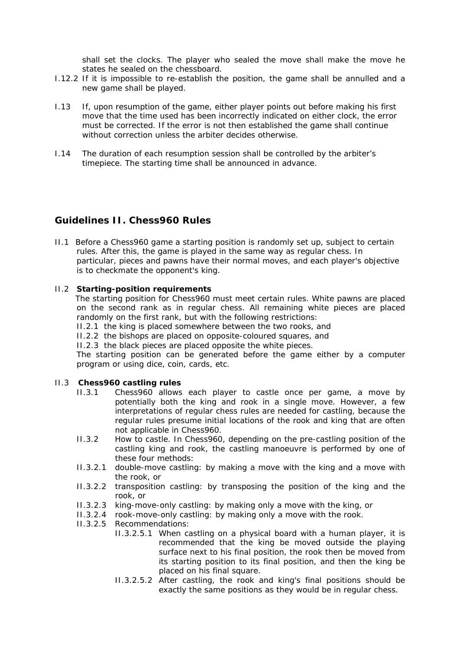shall set the clocks. The player who sealed the move shall make the move he states he sealed on the chessboard.

- I.12.2 If it is impossible to re-establish the position, the game shall be annulled and a new game shall be played.
- I.13 If, upon resumption of the game, either player points out before making his first move that the time used has been incorrectly indicated on either clock, the error must be corrected. If the error is not then established the game shall continue without correction unless the arbiter decides otherwise.
- I.14 The duration of each resumption session shall be controlled by the arbiter's timepiece. The starting time shall be announced in advance.

## **Guidelines II. Chess960 Rules**

II.1 Before a Chess960 game a starting position is randomly set up, subject to certain rules. After this, the game is played in the same way as regular chess. In particular, pieces and pawns have their normal moves, and each player's objective is to checkmate the opponent's king.

#### II.2 **Starting-position requirements**

 The starting position for Chess960 must meet certain rules. White pawns are placed on the second rank as in regular chess. All remaining white pieces are placed randomly on the first rank, but with the following restrictions:

- II.2.1 the king is placed somewhere between the two rooks, and
- II.2.2 the bishops are placed on opposite-coloured squares, and

II.2.3 the black pieces are placed opposite the white pieces.

The starting position can be generated before the game either by a computer program or using dice, coin, cards, etc.

#### II.3 **Chess960 castling rules**

- II.3.1 Chess960 allows each player to castle once per game, a move by potentially both the king and rook in a single move. However, a few interpretations of regular chess rules are needed for castling, because the regular rules presume initial locations of the rook and king that are often not applicable in Chess960.
- II.3.2 How to castle. In Chess960, depending on the pre-castling position of the castling king and rook, the castling manoeuvre is performed by one of these four methods:
- II.3.2.1 double-move castling: by making a move with the king and a move with the rook, or
- II.3.2.2 transposition castling: by transposing the position of the king and the rook, or
- II.3.2.3 king-move-only castling: by making only a move with the king, or
- II.3.2.4 rook-move-only castling: by making only a move with the rook.
- II.3.2.5 Recommendations:
	- II.3.2.5.1 When castling on a physical board with a human player, it is recommended that the king be moved outside the playing surface next to his final position, the rook then be moved from its starting position to its final position, and then the king be placed on his final square.
	- II.3.2.5.2 After castling, the rook and king's final positions should be exactly the same positions as they would be in regular chess.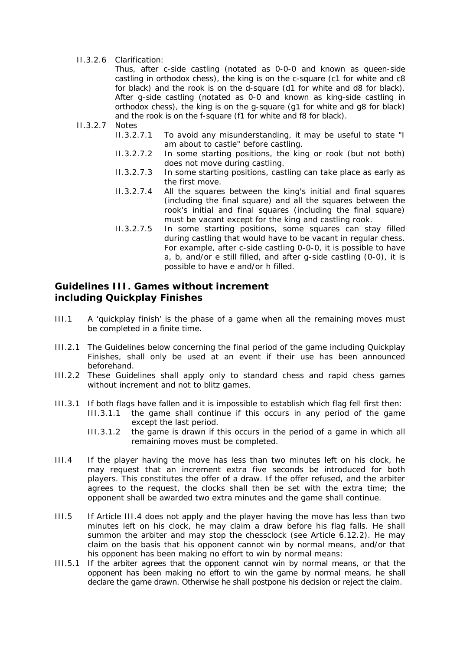#### II.3.2.6 Clarification:

 Thus, after c-side castling (notated as 0-0-0 and known as queen-side castling in orthodox chess), the king is on the c-square (c1 for white and c8 for black) and the rook is on the d-square (d1 for white and d8 for black). After g-side castling (notated as 0-0 and known as king-side castling in orthodox chess), the king is on the g-square (g1 for white and g8 for black) and the rook is on the f-square (f1 for white and f8 for black).

- II.3.2.7 Notes
	- II.3.2.7.1 To avoid any misunderstanding, it may be useful to state "I am about to castle" before castling.
	- II.3.2.7.2 In some starting positions, the king or rook (but not both) does not move during castling.
	- II.3.2.7.3 In some starting positions, castling can take place as early as the first move.
	- II.3.2.7.4 All the squares between the king's initial and final squares (including the final square) and all the squares between the rook's initial and final squares (including the final square) must be vacant except for the king and castling rook.
	- II.3.2.7.5 In some starting positions, some squares can stay filled during castling that would have to be vacant in regular chess. For example, after c-side castling 0-0-0, it is possible to have a, b, and/or e still filled, and after g-side castling (0-0), it is possible to have e and/or h filled.

### **Guidelines III. Games without increment including Quickplay Finishes**

- III.1 A 'quickplay finish' is the phase of a game when all the remaining moves must be completed in a finite time.
- III.2.1 The Guidelines below concerning the final period of the game including Quickplay Finishes, shall only be used at an event if their use has been announced beforehand.
- III.2.2 These Guidelines shall apply only to standard chess and rapid chess games without increment and not to blitz games.
- III.3.1 If both flags have fallen and it is impossible to establish which flag fell first then:
	- III.3.1.1 the game shall continue if this occurs in any period of the game except the last period.
		- III.3.1.2 the game is drawn if this occurs in the period of a game in which all remaining moves must be completed.
- III.4 If the player having the move has less than two minutes left on his clock, he may request that an increment extra five seconds be introduced for both players. This constitutes the offer of a draw. If the offer refused, and the arbiter agrees to the request, the clocks shall then be set with the extra time; the opponent shall be awarded two extra minutes and the game shall continue.
- III.5 If Article III.4 does not apply and the player having the move has less than two minutes left on his clock, he may claim a draw before his flag falls. He shall summon the arbiter and may stop the chessclock (see Article 6.12.2). He may claim on the basis that his opponent cannot win by normal means, and/or that his opponent has been making no effort to win by normal means:
- III.5.1 If the arbiter agrees that the opponent cannot win by normal means, or that the opponent has been making no effort to win the game by normal means, he shall declare the game drawn. Otherwise he shall postpone his decision or reject the claim.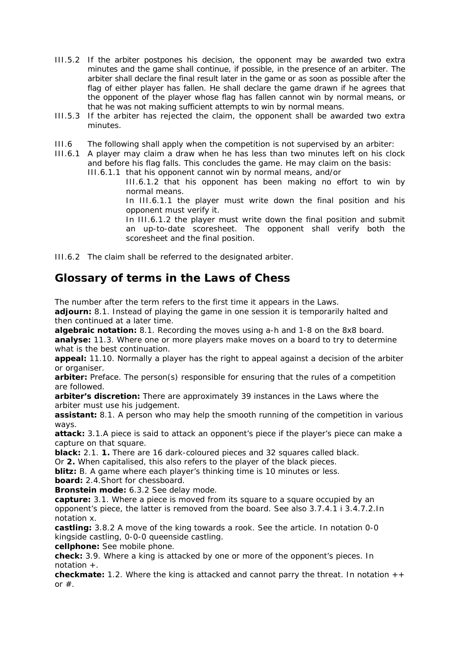- III.5.2 If the arbiter postpones his decision, the opponent may be awarded two extra minutes and the game shall continue, if possible, in the presence of an arbiter. The arbiter shall declare the final result later in the game or as soon as possible after the flag of either player has fallen. He shall declare the game drawn if he agrees that the opponent of the player whose flag has fallen cannot win by normal means, or that he was not making sufficient attempts to win by normal means.
- III.5.3 If the arbiter has rejected the claim, the opponent shall be awarded two extra minutes.
- III.6 The following shall apply when the competition is not supervised by an arbiter:
- III.6.1 A player may claim a draw when he has less than two minutes left on his clock and before his flag falls. This concludes the game. He may claim on the basis:

III.6.1.1 that his opponent cannot win by normal means, and/or

III.6.1.2 that his opponent has been making no effort to win by normal means.

In III.6.1.1 the player must write down the final position and his opponent must verify it.

 In III.6.1.2 the player must write down the final position and submit an up-to-date scoresheet. The opponent shall verify both the scoresheet and the final position.

III.6.2 The claim shall be referred to the designated arbiter.

# **Glossary of terms in the Laws of Chess**

The number after the term refers to the first time it appears in the Laws.

**adjourn:** 8.1. Instead of playing the game in one session it is temporarily halted and then continued at a later time.

**algebraic notation:** 8.1. Recording the moves using a-h and 1-8 on the 8x8 board. **analyse:** 11.3. Where one or more players make moves on a board to try to determine what is the best continuation.

**appeal:** 11.10. Normally a player has the right to appeal against a decision of the arbiter or organiser.

**arbiter:** Preface. The person(s) responsible for ensuring that the rules of a competition are followed.

**arbiter's discretion:** There are approximately 39 instances in the Laws where the arbiter must use his judgement.

**assistant:** 8.1. A person who may help the smooth running of the competition in various ways.

**attack:** 3.1.A piece is said to attack an opponent's piece if the player's piece can make a capture on that square.

**black:** 2.1. **1.** There are 16 dark-coloured pieces and 32 squares called black.

Or **2.** When capitalised, this also refers to the player of the black pieces.

**blitz:** B. A game where each player's thinking time is 10 minutes or less.

**board:** 2.4.Short for chessboard.

**Bronstein mode:** 6.3.2 See delay mode.

capture: 3.1. Where a piece is moved from its square to a square occupied by an opponent's piece, the latter is removed from the board. See also 3.7.4.1 i 3.4.7.2.In notation x.

**castling:** 3.8.2 A move of the king towards a rook. See the article. In notation 0-0 kingside castling, 0-0-0 queenside castling.

**cellphone:** See mobile phone.

**check:** 3.9. Where a king is attacked by one or more of the opponent's pieces. In notation +.

**checkmate:** 1.2. Where the king is attacked and cannot parry the threat. In notation ++ or  $#$ .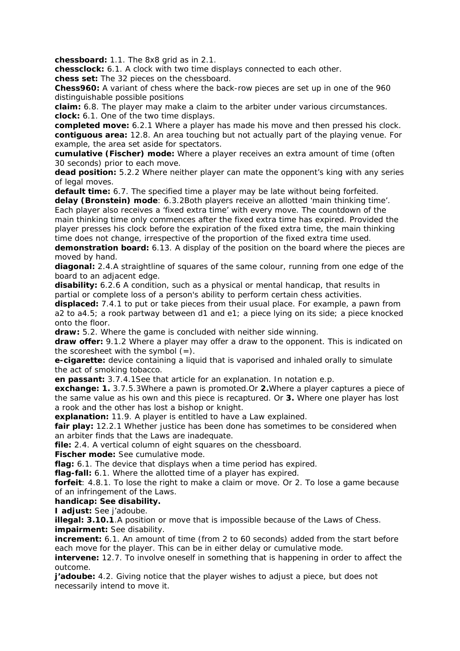**chessboard:** 1.1. The 8x8 grid as in 2.1.

**chessclock:** 6.1. A clock with two time displays connected to each other. **chess set:** The 32 pieces on the chessboard.

**Chess960:** A variant of chess where the back-row pieces are set up in one of the 960 distinguishable possible positions

**claim:** 6.8. The player may make a claim to the arbiter under various circumstances. **clock:** 6.1. One of the two time displays.

**completed move:** 6.2.1 Where a player has made his move and then pressed his clock. **contiguous area:** 12.8. An area touching but not actually part of the playing venue. For example, the area set aside for spectators.

**cumulative (Fischer) mode:** Where a player receives an extra amount of time (often 30 seconds) prior to each move.

**dead position:** 5.2.2 Where neither player can mate the opponent's king with any series of legal moves.

**default time:** 6.7. The specified time a player may be late without being forfeited.

**delay (Bronstein) mode**: 6.3.2Both players receive an allotted 'main thinking time'. Each player also receives a 'fixed extra time' with every move. The countdown of the main thinking time only commences after the fixed extra time has expired. Provided the player presses his clock before the expiration of the fixed extra time, the main thinking time does not change, irrespective of the proportion of the fixed extra time used.

**demonstration board:** 6.13. A display of the position on the board where the pieces are moved by hand.

**diagonal:** 2.4.A straightline of squares of the same colour, running from one edge of the board to an adjacent edge.

**disability:** 6.2.6 A condition, such as a physical or mental handicap, that results in partial or complete loss of a person's ability to perform certain chess activities.

**displaced:** 7.4.1 to put or take pieces from their usual place. For example, a pawn from a2 to a4.5; a rook partway between d1 and e1; a piece lying on its side; a piece knocked onto the floor.

**draw:** 5.2. Where the game is concluded with neither side winning.

**draw offer:** 9.1.2 Where a player may offer a draw to the opponent. This is indicated on the scoresheet with the symbol  $(=)$ .

**e-cigarette:** device containing a liquid that is vaporised and inhaled orally to simulate the act of smoking tobacco.

**en passant:** 3.7.4.1See that article for an explanation. In notation e.p.

**exchange: 1.** 3.7.5.3Where a pawn is promoted.Or **2.**Where a player captures a piece of the same value as his own and this piece is recaptured. Or **3.** Where one player has lost a rook and the other has lost a bishop or knight.

**explanation:** 11.9. A player is entitled to have a Law explained.

**fair play:** 12.2.1 Whether justice has been done has sometimes to be considered when an arbiter finds that the Laws are inadequate.

**file:** 2.4. A vertical column of eight squares on the chessboard.

**Fischer mode:** See cumulative mode.

**flag:** 6.1. The device that displays when a time period has expired.

**flag-fall:** 6.1. Where the allotted time of a player has expired.

**forfeit**: 4.8.1. To lose the right to make a claim or move. Or 2. To lose a game because of an infringement of the Laws.

#### **handicap: See disability.**

**I adjust:** See j'adoube.

**illegal: 3.10.1**.A position or move that is impossible because of the Laws of Chess. **impairment:** See disability.

**increment:** 6.1. An amount of time (from 2 to 60 seconds) added from the start before each move for the player. This can be in either delay or cumulative mode.

**intervene:** 12.7. To involve oneself in something that is happening in order to affect the outcome.

*j'adoube: 4.2. Giving notice that the player wishes to adjust a piece, but does not* necessarily intend to move it.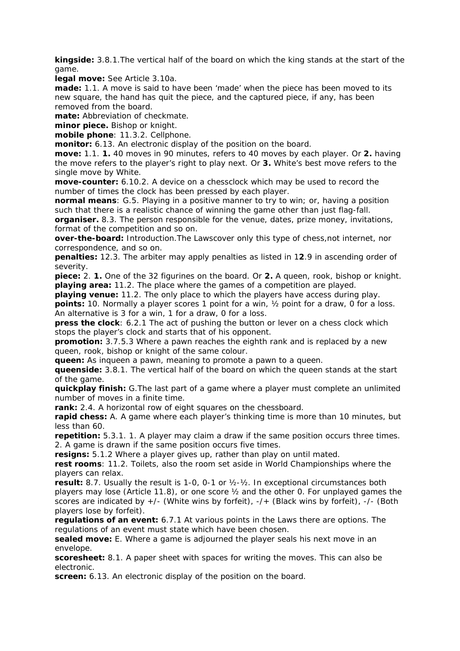**kingside:** 3.8.1.The vertical half of the board on which the king stands at the start of the game.

**legal move:** See Article 3.10a.

**made:** 1.1. A move is said to have been 'made' when the piece has been moved to its new square, the hand has quit the piece, and the captured piece, if any, has been removed from the board.

**mate:** Abbreviation of checkmate.

**minor piece.** Bishop or knight.

**mobile phone**: 11.3.2. Cellphone.

**monitor:** 6.13. An electronic display of the position on the board.

**move:** 1.1. **1.** 40 moves in 90 minutes, refers to 40 moves by each player. Or **2.** having the move refers to the player's right to play next. Or **3.** White's best move refers to the single move by White.

**move-counter:** 6.10.2. A device on a chessclock which may be used to record the number of times the clock has been pressed by each player.

**normal means**: G.5. Playing in a positive manner to try to win; or, having a position such that there is a realistic chance of winning the game other than just flag-fall.

**organiser.** 8.3. The person responsible for the venue, dates, prize money, invitations, format of the competition and so on.

**over-the-board:** Introduction.The Lawscover only this type of chess,not internet, nor correspondence, and so on.

**penalties:** 12.3. The arbiter may apply penalties as listed in 1**2**.9 in ascending order of severity.

**piece:** 2. **1.** One of the 32 figurines on the board. Or **2.** A queen, rook, bishop or knight. **playing area:** 11.2. The place where the games of a competition are played.

**playing venue:** 11.2. The only place to which the players have access during play.

**points:** 10. Normally a player scores 1 point for a win, ½ point for a draw, 0 for a loss. An alternative is 3 for a win, 1 for a draw, 0 for a loss.

**press the clock**: 6.2.1 The act of pushing the button or lever on a chess clock which stops the player's clock and starts that of his opponent.

**promotion:** 3.7.5.3 Where a pawn reaches the eighth rank and is replaced by a new queen, rook, bishop or knight of the same colour.

**queen:** As inqueen a pawn, meaning to promote a pawn to a queen.

**queenside:** 3.8.1. The vertical half of the board on which the queen stands at the start of the game.

**quickplay finish:** G.The last part of a game where a player must complete an unlimited number of moves in a finite time.

**rank:** 2.4. A horizontal row of eight squares on the chessboard.

**rapid chess:** A. A game where each player's thinking time is more than 10 minutes, but less than 60.

**repetition:** 5.3.1. 1. A player may claim a draw if the same position occurs three times. 2. A game is drawn if the same position occurs five times.

**resigns:** 5.1.2 Where a player gives up, rather than play on until mated.

**rest rooms**: 11.2. Toilets, also the room set aside in World Championships where the players can relax.

**result:** 8.7. Usually the result is 1-0, 0-1 or ½-½. In exceptional circumstances both players may lose (Article 11.8), or one score ½ and the other 0. For unplayed games the scores are indicated by  $+/-$  (White wins by forfeit),  $-/-$  (Black wins by forfeit),  $-/-$  (Both players lose by forfeit).

**regulations of an event:** 6.7.1 At various points in the Laws there are options. The regulations of an event must state which have been chosen.

**sealed move:** E. Where a game is adjourned the player seals his next move in an envelope.

**scoresheet:** 8.1. A paper sheet with spaces for writing the moves. This can also be electronic.

**screen:** 6.13. An electronic display of the position on the board.